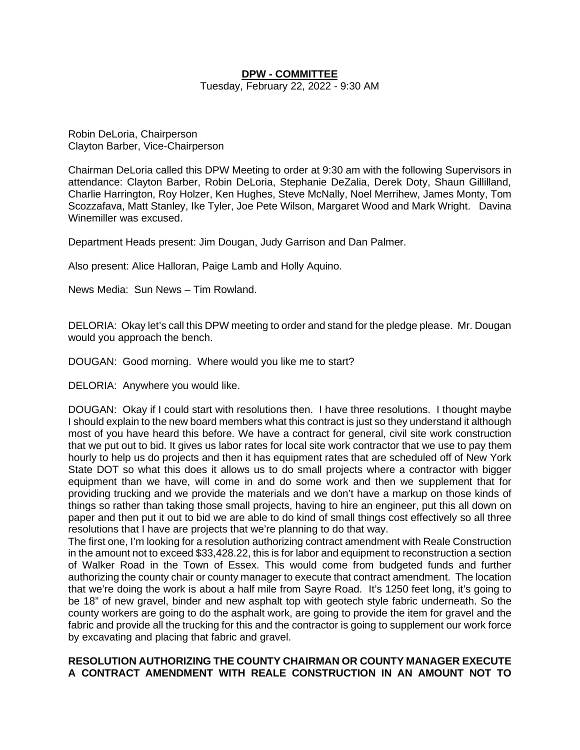## **DPW - COMMITTEE**

Tuesday, February 22, 2022 - 9:30 AM

Robin DeLoria, Chairperson Clayton Barber, Vice-Chairperson

Chairman DeLoria called this DPW Meeting to order at 9:30 am with the following Supervisors in attendance: Clayton Barber, Robin DeLoria, Stephanie DeZalia, Derek Doty, Shaun Gillilland, Charlie Harrington, Roy Holzer, Ken Hughes, Steve McNally, Noel Merrihew, James Monty, Tom Scozzafava, Matt Stanley, Ike Tyler, Joe Pete Wilson, Margaret Wood and Mark Wright. Davina Winemiller was excused.

Department Heads present: Jim Dougan, Judy Garrison and Dan Palmer.

Also present: Alice Halloran, Paige Lamb and Holly Aquino.

News Media: Sun News – Tim Rowland.

DELORIA: Okay let's call this DPW meeting to order and stand for the pledge please. Mr. Dougan would you approach the bench.

DOUGAN: Good morning. Where would you like me to start?

DELORIA: Anywhere you would like.

DOUGAN: Okay if I could start with resolutions then. I have three resolutions. I thought maybe I should explain to the new board members what this contract is just so they understand it although most of you have heard this before. We have a contract for general, civil site work construction that we put out to bid. It gives us labor rates for local site work contractor that we use to pay them hourly to help us do projects and then it has equipment rates that are scheduled off of New York State DOT so what this does it allows us to do small projects where a contractor with bigger equipment than we have, will come in and do some work and then we supplement that for providing trucking and we provide the materials and we don't have a markup on those kinds of things so rather than taking those small projects, having to hire an engineer, put this all down on paper and then put it out to bid we are able to do kind of small things cost effectively so all three resolutions that I have are projects that we're planning to do that way.

The first one, I'm looking for a resolution authorizing contract amendment with Reale Construction in the amount not to exceed \$33,428.22, this is for labor and equipment to reconstruction a section of Walker Road in the Town of Essex. This would come from budgeted funds and further authorizing the county chair or county manager to execute that contract amendment. The location that we're doing the work is about a half mile from Sayre Road. It's 1250 feet long, it's going to be 18" of new gravel, binder and new asphalt top with geotech style fabric underneath. So the county workers are going to do the asphalt work, are going to provide the item for gravel and the fabric and provide all the trucking for this and the contractor is going to supplement our work force by excavating and placing that fabric and gravel.

## **RESOLUTION AUTHORIZING THE COUNTY CHAIRMAN OR COUNTY MANAGER EXECUTE A CONTRACT AMENDMENT WITH REALE CONSTRUCTION IN AN AMOUNT NOT TO**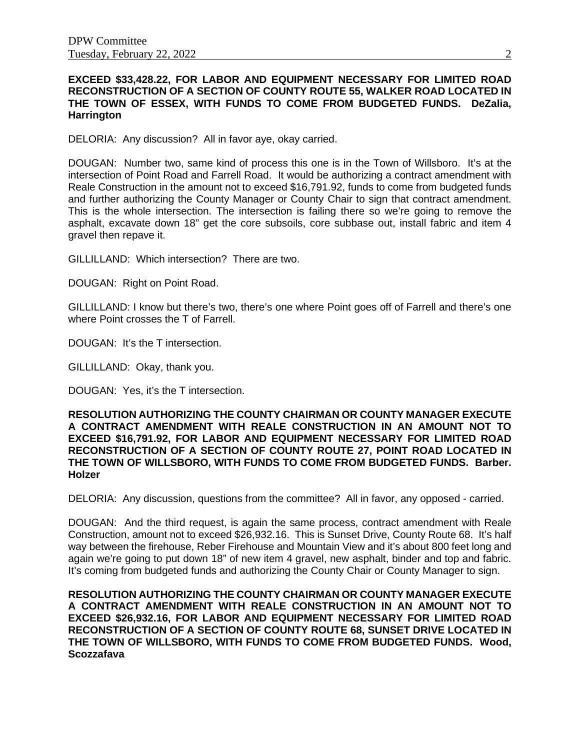## **EXCEED \$33,428.22, FOR LABOR AND EQUIPMENT NECESSARY FOR LIMITED ROAD RECONSTRUCTION OF A SECTION OF COUNTY ROUTE 55, WALKER ROAD LOCATED IN THE TOWN OF ESSEX, WITH FUNDS TO COME FROM BUDGETED FUNDS. DeZalia, Harrington**

DELORIA: Any discussion? All in favor aye, okay carried.

DOUGAN: Number two, same kind of process this one is in the Town of Willsboro. It's at the intersection of Point Road and Farrell Road. It would be authorizing a contract amendment with Reale Construction in the amount not to exceed \$16,791.92, funds to come from budgeted funds and further authorizing the County Manager or County Chair to sign that contract amendment. This is the whole intersection. The intersection is failing there so we're going to remove the asphalt, excavate down 18" get the core subsoils, core subbase out, install fabric and item 4 gravel then repave it.

GILLILLAND: Which intersection? There are two.

DOUGAN: Right on Point Road.

GILLILLAND: I know but there's two, there's one where Point goes off of Farrell and there's one where Point crosses the T of Farrell.

DOUGAN: It's the T intersection.

GILLILLAND: Okay, thank you.

DOUGAN: Yes, it's the T intersection.

**RESOLUTION AUTHORIZING THE COUNTY CHAIRMAN OR COUNTY MANAGER EXECUTE A CONTRACT AMENDMENT WITH REALE CONSTRUCTION IN AN AMOUNT NOT TO EXCEED \$16,791.92, FOR LABOR AND EQUIPMENT NECESSARY FOR LIMITED ROAD RECONSTRUCTION OF A SECTION OF COUNTY ROUTE 27, POINT ROAD LOCATED IN THE TOWN OF WILLSBORO, WITH FUNDS TO COME FROM BUDGETED FUNDS. Barber. Holzer**

DELORIA: Any discussion, questions from the committee? All in favor, any opposed - carried.

DOUGAN: And the third request, is again the same process, contract amendment with Reale Construction, amount not to exceed \$26,932.16. This is Sunset Drive, County Route 68. It's half way between the firehouse, Reber Firehouse and Mountain View and it's about 800 feet long and again we're going to put down 18" of new item 4 gravel, new asphalt, binder and top and fabric. It's coming from budgeted funds and authorizing the County Chair or County Manager to sign.

**RESOLUTION AUTHORIZING THE COUNTY CHAIRMAN OR COUNTY MANAGER EXECUTE A CONTRACT AMENDMENT WITH REALE CONSTRUCTION IN AN AMOUNT NOT TO EXCEED \$26,932.16, FOR LABOR AND EQUIPMENT NECESSARY FOR LIMITED ROAD RECONSTRUCTION OF A SECTION OF COUNTY ROUTE 68, SUNSET DRIVE LOCATED IN THE TOWN OF WILLSBORO, WITH FUNDS TO COME FROM BUDGETED FUNDS. Wood, Scozzafava**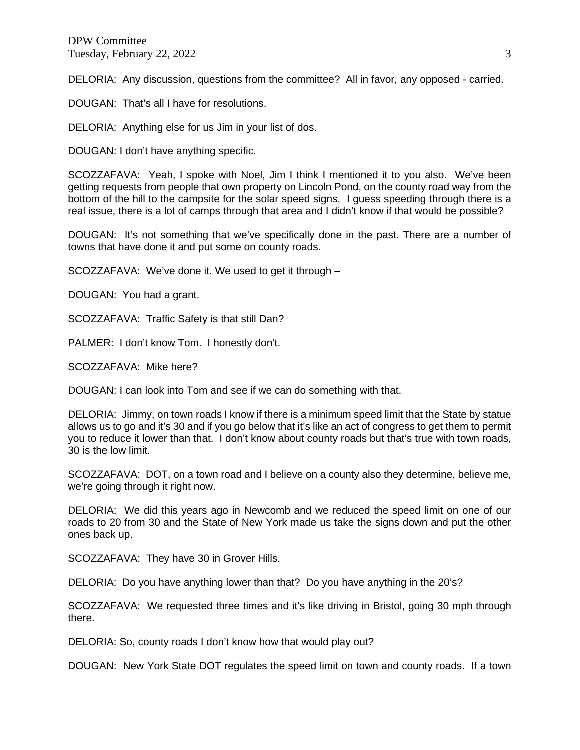DELORIA: Any discussion, questions from the committee? All in favor, any opposed - carried.

DOUGAN: That's all I have for resolutions.

DELORIA: Anything else for us Jim in your list of dos.

DOUGAN: I don't have anything specific.

SCOZZAFAVA: Yeah, I spoke with Noel, Jim I think I mentioned it to you also. We've been getting requests from people that own property on Lincoln Pond, on the county road way from the bottom of the hill to the campsite for the solar speed signs. I guess speeding through there is a real issue, there is a lot of camps through that area and I didn't know if that would be possible?

DOUGAN: It's not something that we've specifically done in the past. There are a number of towns that have done it and put some on county roads.

SCOZZAFAVA: We've done it. We used to get it through –

DOUGAN: You had a grant.

SCOZZAFAVA: Traffic Safety is that still Dan?

PALMER: I don't know Tom. I honestly don't.

SCOZZAFAVA: Mike here?

DOUGAN: I can look into Tom and see if we can do something with that.

DELORIA: Jimmy, on town roads I know if there is a minimum speed limit that the State by statue allows us to go and it's 30 and if you go below that it's like an act of congress to get them to permit you to reduce it lower than that. I don't know about county roads but that's true with town roads, 30 is the low limit.

SCOZZAFAVA: DOT, on a town road and I believe on a county also they determine, believe me, we're going through it right now.

DELORIA: We did this years ago in Newcomb and we reduced the speed limit on one of our roads to 20 from 30 and the State of New York made us take the signs down and put the other ones back up.

SCOZZAFAVA: They have 30 in Grover Hills.

DELORIA: Do you have anything lower than that? Do you have anything in the 20's?

SCOZZAFAVA: We requested three times and it's like driving in Bristol, going 30 mph through there.

DELORIA: So, county roads I don't know how that would play out?

DOUGAN: New York State DOT regulates the speed limit on town and county roads. If a town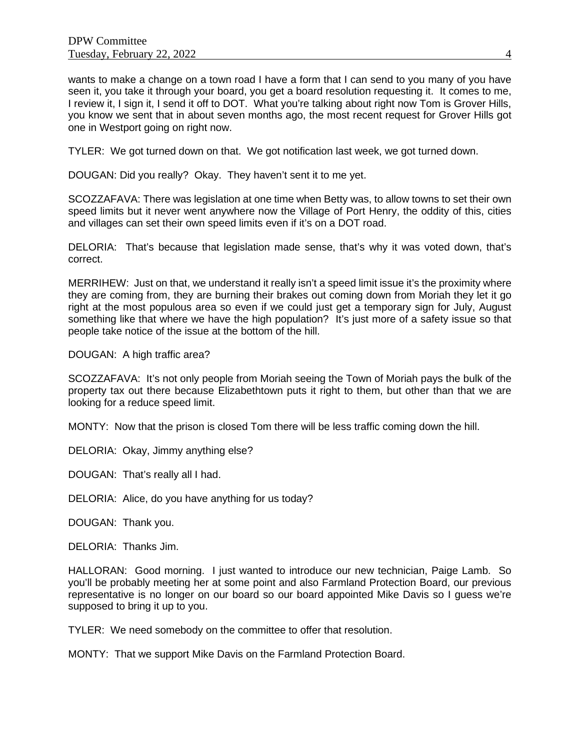wants to make a change on a town road I have a form that I can send to you many of you have seen it, you take it through your board, you get a board resolution requesting it. It comes to me, I review it, I sign it, I send it off to DOT. What you're talking about right now Tom is Grover Hills, you know we sent that in about seven months ago, the most recent request for Grover Hills got one in Westport going on right now.

TYLER: We got turned down on that. We got notification last week, we got turned down.

DOUGAN: Did you really? Okay. They haven't sent it to me yet.

SCOZZAFAVA: There was legislation at one time when Betty was, to allow towns to set their own speed limits but it never went anywhere now the Village of Port Henry, the oddity of this, cities and villages can set their own speed limits even if it's on a DOT road.

DELORIA: That's because that legislation made sense, that's why it was voted down, that's correct.

MERRIHEW: Just on that, we understand it really isn't a speed limit issue it's the proximity where they are coming from, they are burning their brakes out coming down from Moriah they let it go right at the most populous area so even if we could just get a temporary sign for July, August something like that where we have the high population? It's just more of a safety issue so that people take notice of the issue at the bottom of the hill.

DOUGAN: A high traffic area?

SCOZZAFAVA: It's not only people from Moriah seeing the Town of Moriah pays the bulk of the property tax out there because Elizabethtown puts it right to them, but other than that we are looking for a reduce speed limit.

MONTY: Now that the prison is closed Tom there will be less traffic coming down the hill.

DELORIA: Okay, Jimmy anything else?

DOUGAN: That's really all I had.

DELORIA: Alice, do you have anything for us today?

DOUGAN: Thank you.

DELORIA: Thanks Jim.

HALLORAN: Good morning. I just wanted to introduce our new technician, Paige Lamb. So you'll be probably meeting her at some point and also Farmland Protection Board, our previous representative is no longer on our board so our board appointed Mike Davis so I guess we're supposed to bring it up to you.

TYLER: We need somebody on the committee to offer that resolution.

MONTY: That we support Mike Davis on the Farmland Protection Board.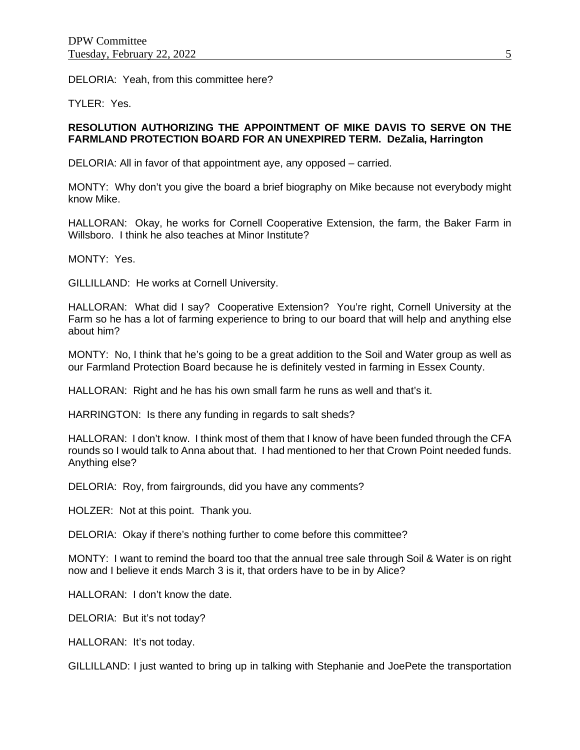DELORIA: Yeah, from this committee here?

TYLER: Yes.

## **RESOLUTION AUTHORIZING THE APPOINTMENT OF MIKE DAVIS TO SERVE ON THE FARMLAND PROTECTION BOARD FOR AN UNEXPIRED TERM. DeZalia, Harrington**

DELORIA: All in favor of that appointment aye, any opposed – carried.

MONTY: Why don't you give the board a brief biography on Mike because not everybody might know Mike.

HALLORAN: Okay, he works for Cornell Cooperative Extension, the farm, the Baker Farm in Willsboro. I think he also teaches at Minor Institute?

MONTY: Yes.

GILLILLAND: He works at Cornell University.

HALLORAN: What did I say? Cooperative Extension? You're right, Cornell University at the Farm so he has a lot of farming experience to bring to our board that will help and anything else about him?

MONTY: No, I think that he's going to be a great addition to the Soil and Water group as well as our Farmland Protection Board because he is definitely vested in farming in Essex County.

HALLORAN: Right and he has his own small farm he runs as well and that's it.

HARRINGTON: Is there any funding in regards to salt sheds?

HALLORAN: I don't know. I think most of them that I know of have been funded through the CFA rounds so I would talk to Anna about that. I had mentioned to her that Crown Point needed funds. Anything else?

DELORIA: Roy, from fairgrounds, did you have any comments?

HOLZER: Not at this point. Thank you.

DELORIA: Okay if there's nothing further to come before this committee?

MONTY: I want to remind the board too that the annual tree sale through Soil & Water is on right now and I believe it ends March 3 is it, that orders have to be in by Alice?

HALLORAN: I don't know the date.

DELORIA: But it's not today?

HALLORAN: It's not today.

GILLILLAND: I just wanted to bring up in talking with Stephanie and JoePete the transportation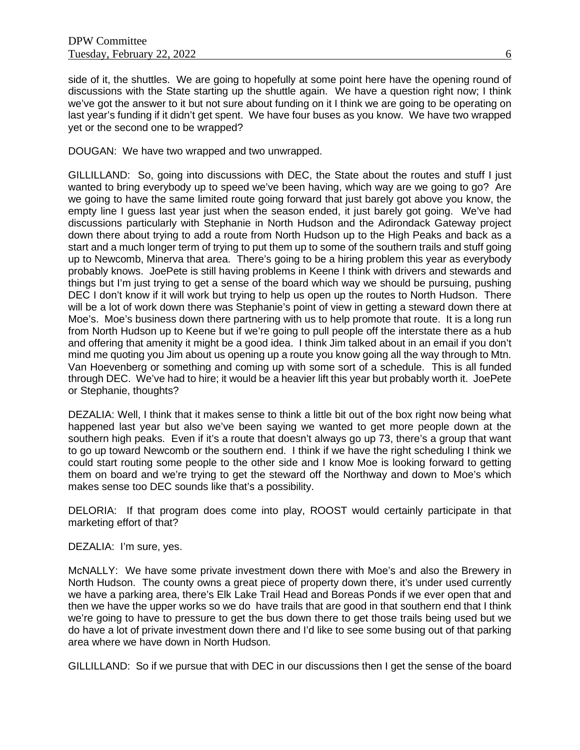side of it, the shuttles. We are going to hopefully at some point here have the opening round of discussions with the State starting up the shuttle again. We have a question right now; I think we've got the answer to it but not sure about funding on it I think we are going to be operating on last year's funding if it didn't get spent. We have four buses as you know. We have two wrapped yet or the second one to be wrapped?

DOUGAN: We have two wrapped and two unwrapped.

GILLILLAND: So, going into discussions with DEC, the State about the routes and stuff I just wanted to bring everybody up to speed we've been having, which way are we going to go? Are we going to have the same limited route going forward that just barely got above you know, the empty line I guess last year just when the season ended, it just barely got going. We've had discussions particularly with Stephanie in North Hudson and the Adirondack Gateway project down there about trying to add a route from North Hudson up to the High Peaks and back as a start and a much longer term of trying to put them up to some of the southern trails and stuff going up to Newcomb, Minerva that area. There's going to be a hiring problem this year as everybody probably knows. JoePete is still having problems in Keene I think with drivers and stewards and things but I'm just trying to get a sense of the board which way we should be pursuing, pushing DEC I don't know if it will work but trying to help us open up the routes to North Hudson. There will be a lot of work down there was Stephanie's point of view in getting a steward down there at Moe's. Moe's business down there partnering with us to help promote that route. It is a long run from North Hudson up to Keene but if we're going to pull people off the interstate there as a hub and offering that amenity it might be a good idea. I think Jim talked about in an email if you don't mind me quoting you Jim about us opening up a route you know going all the way through to Mtn. Van Hoevenberg or something and coming up with some sort of a schedule. This is all funded through DEC. We've had to hire; it would be a heavier lift this year but probably worth it. JoePete or Stephanie, thoughts?

DEZALIA: Well, I think that it makes sense to think a little bit out of the box right now being what happened last year but also we've been saying we wanted to get more people down at the southern high peaks. Even if it's a route that doesn't always go up 73, there's a group that want to go up toward Newcomb or the southern end. I think if we have the right scheduling I think we could start routing some people to the other side and I know Moe is looking forward to getting them on board and we're trying to get the steward off the Northway and down to Moe's which makes sense too DEC sounds like that's a possibility.

DELORIA: If that program does come into play, ROOST would certainly participate in that marketing effort of that?

DEZALIA: I'm sure, yes.

McNALLY: We have some private investment down there with Moe's and also the Brewery in North Hudson. The county owns a great piece of property down there, it's under used currently we have a parking area, there's Elk Lake Trail Head and Boreas Ponds if we ever open that and then we have the upper works so we do have trails that are good in that southern end that I think we're going to have to pressure to get the bus down there to get those trails being used but we do have a lot of private investment down there and I'd like to see some busing out of that parking area where we have down in North Hudson.

GILLILLAND: So if we pursue that with DEC in our discussions then I get the sense of the board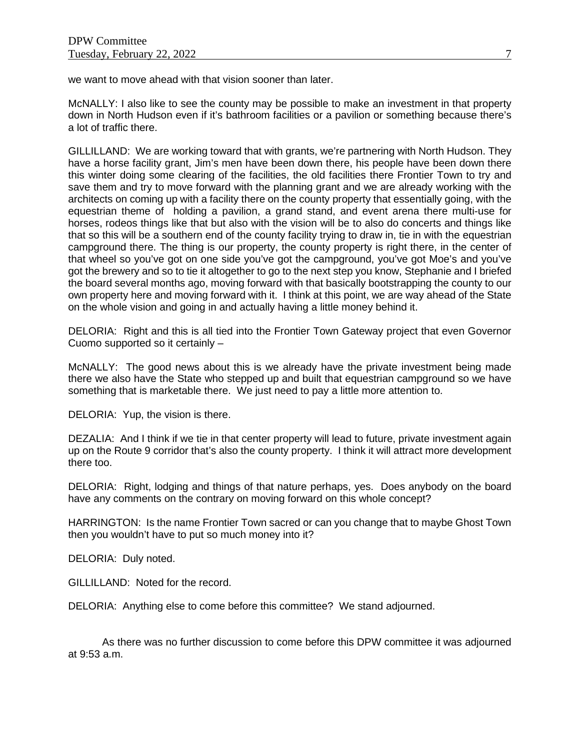we want to move ahead with that vision sooner than later.

McNALLY: I also like to see the county may be possible to make an investment in that property down in North Hudson even if it's bathroom facilities or a pavilion or something because there's a lot of traffic there.

GILLILLAND: We are working toward that with grants, we're partnering with North Hudson. They have a horse facility grant, Jim's men have been down there, his people have been down there this winter doing some clearing of the facilities, the old facilities there Frontier Town to try and save them and try to move forward with the planning grant and we are already working with the architects on coming up with a facility there on the county property that essentially going, with the equestrian theme of holding a pavilion, a grand stand, and event arena there multi-use for horses, rodeos things like that but also with the vision will be to also do concerts and things like that so this will be a southern end of the county facility trying to draw in, tie in with the equestrian campground there. The thing is our property, the county property is right there, in the center of that wheel so you've got on one side you've got the campground, you've got Moe's and you've got the brewery and so to tie it altogether to go to the next step you know, Stephanie and I briefed the board several months ago, moving forward with that basically bootstrapping the county to our own property here and moving forward with it. I think at this point, we are way ahead of the State on the whole vision and going in and actually having a little money behind it.

DELORIA: Right and this is all tied into the Frontier Town Gateway project that even Governor Cuomo supported so it certainly –

McNALLY: The good news about this is we already have the private investment being made there we also have the State who stepped up and built that equestrian campground so we have something that is marketable there. We just need to pay a little more attention to.

DELORIA: Yup, the vision is there.

DEZALIA: And I think if we tie in that center property will lead to future, private investment again up on the Route 9 corridor that's also the county property. I think it will attract more development there too.

DELORIA: Right, lodging and things of that nature perhaps, yes. Does anybody on the board have any comments on the contrary on moving forward on this whole concept?

HARRINGTON: Is the name Frontier Town sacred or can you change that to maybe Ghost Town then you wouldn't have to put so much money into it?

DELORIA: Duly noted.

GILLILLAND: Noted for the record.

DELORIA: Anything else to come before this committee? We stand adjourned.

As there was no further discussion to come before this DPW committee it was adjourned at 9:53 a.m.